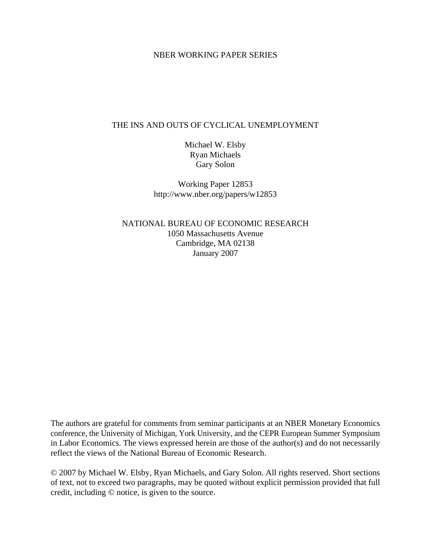## NBER WORKING PAPER SERIES

# THE INS AND OUTS OF CYCLICAL UNEMPLOYMENT

Michael W. Elsby Ryan Michaels Gary Solon

Working Paper 12853 http://www.nber.org/papers/w12853

NATIONAL BUREAU OF ECONOMIC RESEARCH 1050 Massachusetts Avenue Cambridge, MA 02138 January 2007

The authors are grateful for comments from seminar participants at an NBER Monetary Economics conference, the University of Michigan, York University, and the CEPR European Summer Symposium in Labor Economics. The views expressed herein are those of the author(s) and do not necessarily reflect the views of the National Bureau of Economic Research.

© 2007 by Michael W. Elsby, Ryan Michaels, and Gary Solon. All rights reserved. Short sections of text, not to exceed two paragraphs, may be quoted without explicit permission provided that full credit, including © notice, is given to the source.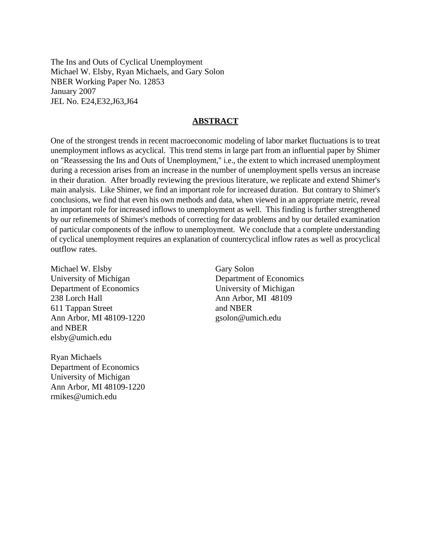The Ins and Outs of Cyclical Unemployment Michael W. Elsby, Ryan Michaels, and Gary Solon NBER Working Paper No. 12853 January 2007 JEL No. E24,E32,J63,J64

## **ABSTRACT**

One of the strongest trends in recent macroeconomic modeling of labor market fluctuations is to treat unemployment inflows as acyclical. This trend stems in large part from an influential paper by Shimer on "Reassessing the Ins and Outs of Unemployment," i.e., the extent to which increased unemployment during a recession arises from an increase in the number of unemployment spells versus an increase in their duration. After broadly reviewing the previous literature, we replicate and extend Shimer's main analysis. Like Shimer, we find an important role for increased duration. But contrary to Shimer's conclusions, we find that even his own methods and data, when viewed in an appropriate metric, reveal an important role for increased inflows to unemployment as well. This finding is further strengthened by our refinements of Shimer's methods of correcting for data problems and by our detailed examination of particular components of the inflow to unemployment. We conclude that a complete understanding of cyclical unemployment requires an explanation of countercyclical inflow rates as well as procyclical outflow rates.

Michael W. Elsby University of Michigan Department of Economics 238 Lorch Hall 611 Tappan Street Ann Arbor, MI 48109-1220 and NBER elsby@umich.edu

Ryan Michaels Department of Economics University of Michigan Ann Arbor, MI 48109-1220 rmikes@umich.edu

Gary Solon Department of Economics University of Michigan Ann Arbor, MI 48109 and NBER gsolon@umich.edu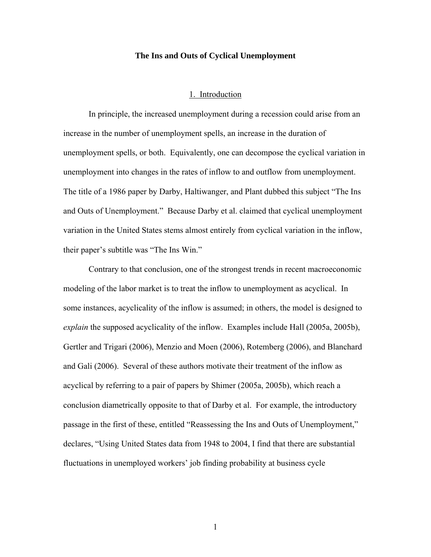### **The Ins and Outs of Cyclical Unemployment**

#### 1. Introduction

 In principle, the increased unemployment during a recession could arise from an increase in the number of unemployment spells, an increase in the duration of unemployment spells, or both. Equivalently, one can decompose the cyclical variation in unemployment into changes in the rates of inflow to and outflow from unemployment. The title of a 1986 paper by Darby, Haltiwanger, and Plant dubbed this subject "The Ins and Outs of Unemployment." Because Darby et al. claimed that cyclical unemployment variation in the United States stems almost entirely from cyclical variation in the inflow, their paper's subtitle was "The Ins Win."

 Contrary to that conclusion, one of the strongest trends in recent macroeconomic modeling of the labor market is to treat the inflow to unemployment as acyclical. In some instances, acyclicality of the inflow is assumed; in others, the model is designed to *explain* the supposed acyclicality of the inflow. Examples include Hall (2005a, 2005b), Gertler and Trigari (2006), Menzio and Moen (2006), Rotemberg (2006), and Blanchard and Gali (2006). Several of these authors motivate their treatment of the inflow as acyclical by referring to a pair of papers by Shimer (2005a, 2005b), which reach a conclusion diametrically opposite to that of Darby et al. For example, the introductory passage in the first of these, entitled "Reassessing the Ins and Outs of Unemployment," declares, "Using United States data from 1948 to 2004, I find that there are substantial fluctuations in unemployed workers' job finding probability at business cycle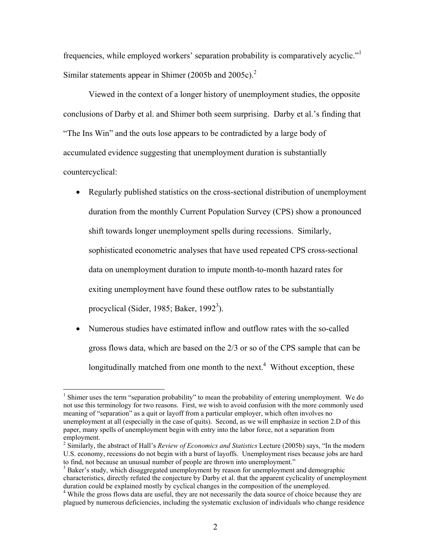frequencies, while employed workers' separation probability is comparatively acyclic."<sup>1</sup> Similar statements appear in Shimer (2005b and 2005c).<sup>2</sup>

 Viewed in the context of a longer history of unemployment studies, the opposite conclusions of Darby et al. and Shimer both seem surprising. Darby et al.'s finding that "The Ins Win" and the outs lose appears to be contradicted by a large body of accumulated evidence suggesting that unemployment duration is substantially countercyclical:

- Regularly published statistics on the cross-sectional distribution of unemployment duration from the monthly Current Population Survey (CPS) show a pronounced shift towards longer unemployment spells during recessions. Similarly, sophisticated econometric analyses that have used repeated CPS cross-sectional data on unemployment duration to impute month-to-month hazard rates for exiting unemployment have found these outflow rates to be substantially procyclical (Sider, 1985; Baker, 1992<sup>3</sup>).
- Numerous studies have estimated inflow and outflow rates with the so-called gross flows data, which are based on the 2/3 or so of the CPS sample that can be longitudinally matched from one month to the next.<sup>4</sup> Without exception, these

<sup>&</sup>lt;sup>1</sup> Shimer uses the term "separation probability" to mean the probability of entering unemployment. We do not use this terminology for two reasons. First, we wish to avoid confusion with the more commonly used meaning of "separation" as a quit or layoff from a particular employer, which often involves no unemployment at all (especially in the case of quits). Second, as we will emphasize in section 2.D of this paper, many spells of unemployment begin with entry into the labor force, not a separation from employment.

<sup>2</sup> Similarly, the abstract of Hall's *Review of Economics and Statistics* Lecture (2005b) says, "In the modern U.S. economy, recessions do not begin with a burst of layoffs. Unemployment rises because jobs are hard to find, not because an unusual number of people are thrown into unemployment."

<sup>&</sup>lt;sup>3</sup> Baker's study, which disaggregated unemployment by reason for unemployment and demographic characteristics, directly refuted the conjecture by Darby et al. that the apparent cyclicality of unemployment duration could be explained mostly by cyclical changes in the composition of the unemployed.

<sup>&</sup>lt;sup>4</sup> While the gross flows data are useful, they are not necessarily the data source of choice because they are plagued by numerous deficiencies, including the systematic exclusion of individuals who change residence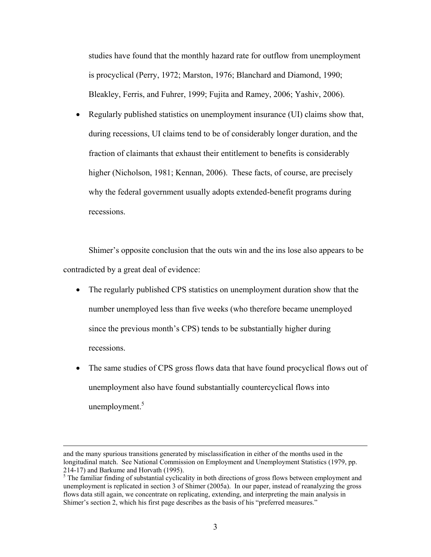studies have found that the monthly hazard rate for outflow from unemployment is procyclical (Perry, 1972; Marston, 1976; Blanchard and Diamond, 1990; Bleakley, Ferris, and Fuhrer, 1999; Fujita and Ramey, 2006; Yashiv, 2006).

• Regularly published statistics on unemployment insurance (UI) claims show that, during recessions, UI claims tend to be of considerably longer duration, and the fraction of claimants that exhaust their entitlement to benefits is considerably higher (Nicholson, 1981; Kennan, 2006). These facts, of course, are precisely why the federal government usually adopts extended-benefit programs during recessions.

Shimer's opposite conclusion that the outs win and the ins lose also appears to be contradicted by a great deal of evidence:

- The regularly published CPS statistics on unemployment duration show that the number unemployed less than five weeks (who therefore became unemployed since the previous month's CPS) tends to be substantially higher during recessions.
- The same studies of CPS gross flows data that have found procyclical flows out of unemployment also have found substantially countercyclical flows into unemployment. $5$

and the many spurious transitions generated by misclassification in either of the months used in the longitudinal match. See National Commission on Employment and Unemployment Statistics (1979, pp. 214-17) and Barkume and Horvath (1995).

 $<sup>5</sup>$  The familiar finding of substantial cyclicality in both directions of gross flows between employment and</sup> unemployment is replicated in section 3 of Shimer (2005a). In our paper, instead of reanalyzing the gross flows data still again, we concentrate on replicating, extending, and interpreting the main analysis in Shimer's section 2, which his first page describes as the basis of his "preferred measures."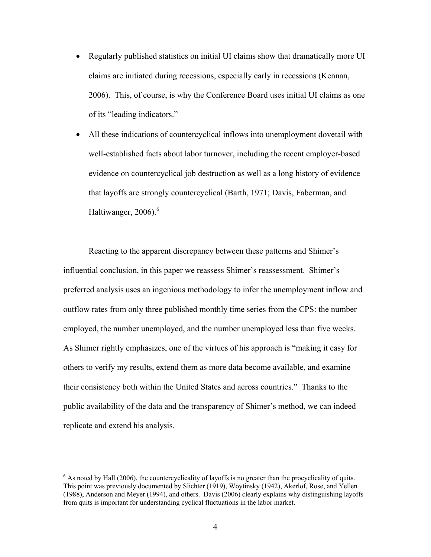- Regularly published statistics on initial UI claims show that dramatically more UI claims are initiated during recessions, especially early in recessions (Kennan, 2006). This, of course, is why the Conference Board uses initial UI claims as one of its "leading indicators."
- All these indications of countercyclical inflows into unemployment dovetail with well-established facts about labor turnover, including the recent employer-based evidence on countercyclical job destruction as well as a long history of evidence that layoffs are strongly countercyclical (Barth, 1971; Davis, Faberman, and Haltiwanger, 2006). $^6$

Reacting to the apparent discrepancy between these patterns and Shimer's influential conclusion, in this paper we reassess Shimer's reassessment. Shimer's preferred analysis uses an ingenious methodology to infer the unemployment inflow and outflow rates from only three published monthly time series from the CPS: the number employed, the number unemployed, and the number unemployed less than five weeks. As Shimer rightly emphasizes, one of the virtues of his approach is "making it easy for others to verify my results, extend them as more data become available, and examine their consistency both within the United States and across countries." Thanks to the public availability of the data and the transparency of Shimer's method, we can indeed replicate and extend his analysis.

<sup>&</sup>lt;sup>6</sup> As noted by Hall (2006), the countercyclicality of layoffs is no greater than the procyclicality of quits. This point was previously documented by Slichter (1919), Woytinsky (1942), Akerlof, Rose, and Yellen (1988), Anderson and Meyer (1994), and others. Davis (2006) clearly explains why distinguishing layoffs from quits is important for understanding cyclical fluctuations in the labor market.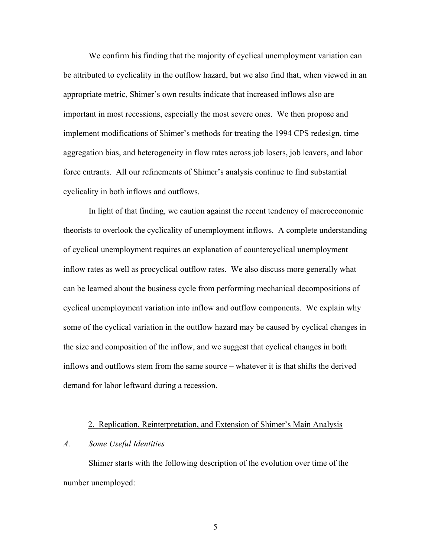We confirm his finding that the majority of cyclical unemployment variation can be attributed to cyclicality in the outflow hazard, but we also find that, when viewed in an appropriate metric, Shimer's own results indicate that increased inflows also are important in most recessions, especially the most severe ones. We then propose and implement modifications of Shimer's methods for treating the 1994 CPS redesign, time aggregation bias, and heterogeneity in flow rates across job losers, job leavers, and labor force entrants. All our refinements of Shimer's analysis continue to find substantial cyclicality in both inflows and outflows.

In light of that finding, we caution against the recent tendency of macroeconomic theorists to overlook the cyclicality of unemployment inflows. A complete understanding of cyclical unemployment requires an explanation of countercyclical unemployment inflow rates as well as procyclical outflow rates. We also discuss more generally what can be learned about the business cycle from performing mechanical decompositions of cyclical unemployment variation into inflow and outflow components. We explain why some of the cyclical variation in the outflow hazard may be caused by cyclical changes in the size and composition of the inflow, and we suggest that cyclical changes in both inflows and outflows stem from the same source – whatever it is that shifts the derived demand for labor leftward during a recession.

### 2. Replication, Reinterpretation, and Extension of Shimer's Main Analysis

## *A. Some Useful Identities*

Shimer starts with the following description of the evolution over time of the number unemployed: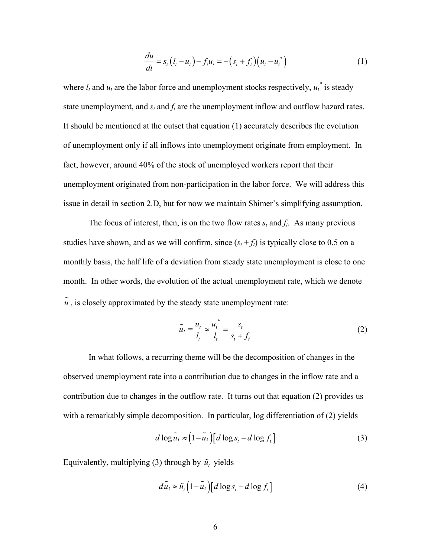$$
\frac{du}{dt} = s_t (l_t - u_t) - f_t u_t = -(s_t + f_t) (u_t - u_t^*)
$$
\n(1)

where  $l_t$  and  $u_t$  are the labor force and unemployment stocks respectively,  $u_t^*$  is steady state unemployment, and  $s_t$  and  $f_t$  are the unemployment inflow and outflow hazard rates. It should be mentioned at the outset that equation (1) accurately describes the evolution of unemployment only if all inflows into unemployment originate from employment. In fact, however, around 40% of the stock of unemployed workers report that their unemployment originated from non-participation in the labor force. We will address this issue in detail in section 2.D, but for now we maintain Shimer's simplifying assumption.

The focus of interest, then, is on the two flow rates  $s_t$  and  $f_t$ . As many previous studies have shown, and as we will confirm, since  $(s_t + f_t)$  is typically close to 0.5 on a monthly basis, the half life of a deviation from steady state unemployment is close to one month. In other words, the evolution of the actual unemployment rate, which we denote  $\tilde{u}$ , is closely approximated by the steady state unemployment rate:

$$
\widetilde{u}_t \equiv \frac{u_t}{l_t} \approx \frac{u_t^*}{l_t} = \frac{s_t}{s_t + f_t} \tag{2}
$$

 In what follows, a recurring theme will be the decomposition of changes in the observed unemployment rate into a contribution due to changes in the inflow rate and a contribution due to changes in the outflow rate. It turns out that equation (2) provides us with a remarkably simple decomposition. In particular, log differentiation of (2) yields

$$
d \log \tilde{u}_t \approx (1 - \tilde{u}_t) [d \log s_t - d \log f_t]
$$
 (3)

Equivalently, multiplying (3) through by  $\tilde{u}$ , yields

$$
d\tilde{u}_t \approx \tilde{u}_t \left(1 - \tilde{u}_t\right) \left[d\log s_t - d\log f_t\right] \tag{4}
$$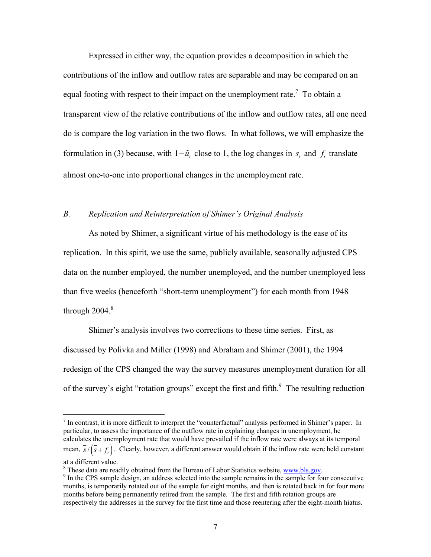Expressed in either way, the equation provides a decomposition in which the contributions of the inflow and outflow rates are separable and may be compared on an equal footing with respect to their impact on the unemployment rate.<sup>7</sup> To obtain a transparent view of the relative contributions of the inflow and outflow rates, all one need do is compare the log variation in the two flows. In what follows, we will emphasize the formulation in (3) because, with  $1 - \tilde{u}$ , close to 1, the log changes in *s*, and *f*, translate almost one-to-one into proportional changes in the unemployment rate.

## *B. Replication and Reinterpretation of Shimer's Original Analysis*

As noted by Shimer, a significant virtue of his methodology is the ease of its replication. In this spirit, we use the same, publicly available, seasonally adjusted CPS data on the number employed, the number unemployed, and the number unemployed less than five weeks (henceforth "short-term unemployment") for each month from 1948 through  $2004.<sup>8</sup>$ 

Shimer's analysis involves two corrections to these time series. First, as discussed by Polivka and Miller (1998) and Abraham and Shimer (2001), the 1994 redesign of the CPS changed the way the survey measures unemployment duration for all of the survey's eight "rotation groups" except the first and fifth. $\frac{9}{10}$  The resulting reduction

 $<sup>7</sup>$  In contrast, it is more difficult to interpret the "counterfactual" analysis performed in Shimer's paper. In</sup> particular, to assess the importance of the outflow rate in explaining changes in unemployment, he calculates the unemployment rate that would have prevailed if the inflow rate were always at its temporal mean,  $\overline{s}/(\overline{s} + f_t)$ . Clearly, however, a different answer would obtain if the inflow rate were held constant at a different value.

<sup>&</sup>lt;sup>8</sup> These data are readily obtained from the Bureau of Labor Statistics website, <u>www.bls.gov</u>.<br><sup>9</sup> In the CBS sample degian, an address selected into the sample remains in the sample for for

<sup>&</sup>lt;sup>9</sup> In the CPS sample design, an address selected into the sample remains in the sample for four consecutive months, is temporarily rotated out of the sample for eight months, and then is rotated back in for four more months before being permanently retired from the sample. The first and fifth rotation groups are respectively the addresses in the survey for the first time and those reentering after the eight-month hiatus.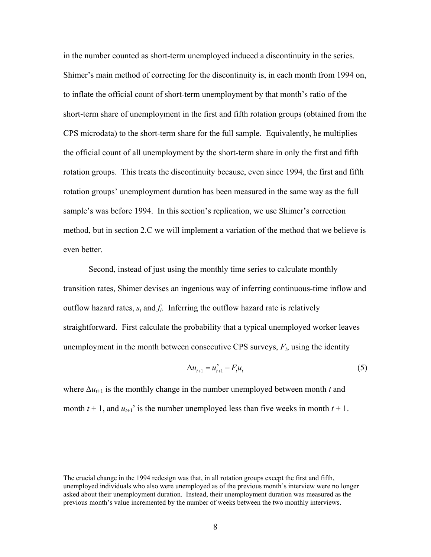in the number counted as short-term unemployed induced a discontinuity in the series. Shimer's main method of correcting for the discontinuity is, in each month from 1994 on, to inflate the official count of short-term unemployment by that month's ratio of the short-term share of unemployment in the first and fifth rotation groups (obtained from the CPS microdata) to the short-term share for the full sample. Equivalently, he multiplies the official count of all unemployment by the short-term share in only the first and fifth rotation groups. This treats the discontinuity because, even since 1994, the first and fifth rotation groups' unemployment duration has been measured in the same way as the full sample's was before 1994. In this section's replication, we use Shimer's correction method, but in section 2.C we will implement a variation of the method that we believe is even better.

Second, instead of just using the monthly time series to calculate monthly transition rates, Shimer devises an ingenious way of inferring continuous-time inflow and outflow hazard rates,  $s_t$  and  $f_t$ . Inferring the outflow hazard rate is relatively straightforward. First calculate the probability that a typical unemployed worker leaves unemployment in the month between consecutive CPS surveys,  $F_t$ , using the identity

$$
\Delta u_{t+1} = u_{t+1}^s - F_t u_t \tag{5}
$$

where  $\Delta u_{t+1}$  is the monthly change in the number unemployed between month *t* and month  $t + 1$ , and  $u_{t+1}$ <sup>*s*</sup> is the number unemployed less than five weeks in month  $t + 1$ .

The crucial change in the 1994 redesign was that, in all rotation groups except the first and fifth, unemployed individuals who also were unemployed as of the previous month's interview were no longer asked about their unemployment duration. Instead, their unemployment duration was measured as the previous month's value incremented by the number of weeks between the two monthly interviews.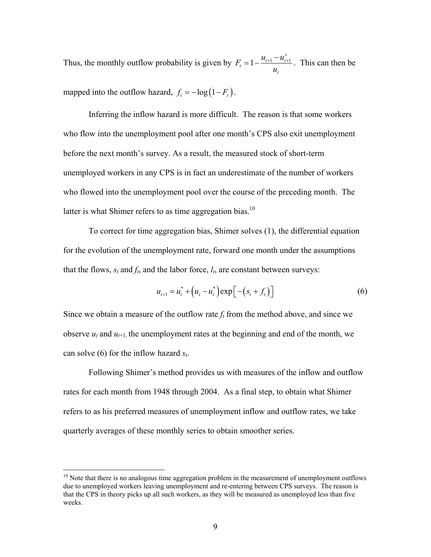Thus, the monthly outflow probability is given by  $F_t = 1 - \frac{u_{t+1}}{u_{t+1}}$ *s*  $\frac{a}{t} = 1 - \frac{a_{t+1} - a_t}{t}$ *t*  $F_t = 1 - \frac{u_{t+1} - u}{u}$ *u*  $= 1 - \frac{u_{t+1} - u_{t+1}^s}{u_{t+1}}$ . This can then be mapped into the outflow hazard,  $f_t = -\log(1 - F_t)$ .

 Inferring the inflow hazard is more difficult. The reason is that some workers who flow into the unemployment pool after one month's CPS also exit unemployment before the next month's survey. As a result, the measured stock of short-term unemployed workers in any CPS is in fact an underestimate of the number of workers who flowed into the unemployment pool over the course of the preceding month. The latter is what Shimer refers to as time aggregation bias.<sup>10</sup>

 To correct for time aggregation bias, Shimer solves (1), the differential equation for the evolution of the unemployment rate, forward one month under the assumptions that the flows,  $s_t$  and  $f_t$ , and the labor force,  $l_t$ , are constant between surveys:

$$
u_{t+1} = u_t^* + (u_t - u_t^*) \exp[-(s_t + f_t)]
$$
 (6)

Since we obtain a measure of the outflow rate  $f_t$  from the method above, and since we observe  $u_t$  and  $u_{t+1}$ , the unemployment rates at the beginning and end of the month, we can solve (6) for the inflow hazard *st*.

 Following Shimer's method provides us with measures of the inflow and outflow rates for each month from 1948 through 2004. As a final step, to obtain what Shimer refers to as his preferred measures of unemployment inflow and outflow rates, we take quarterly averages of these monthly series to obtain smoother series.

 $10$  Note that there is no analogous time aggregation problem in the measurement of unemployment outflows due to unemployed workers leaving unemployment and re-entering between CPS surveys. The reason is that the CPS in theory picks up all such workers, as they will be measured as unemployed less than five weeks.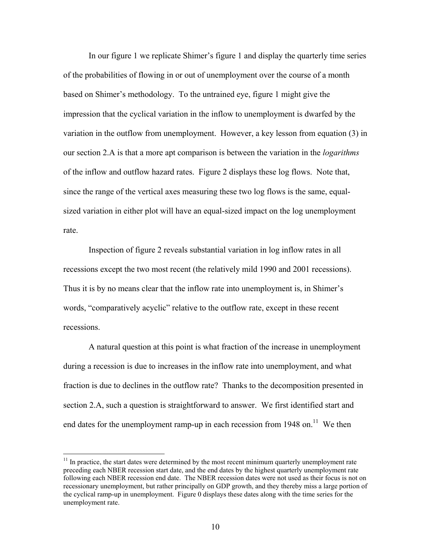In our figure 1 we replicate Shimer's figure 1 and display the quarterly time series of the probabilities of flowing in or out of unemployment over the course of a month based on Shimer's methodology. To the untrained eye, figure 1 might give the impression that the cyclical variation in the inflow to unemployment is dwarfed by the variation in the outflow from unemployment. However, a key lesson from equation (3) in our section 2.A is that a more apt comparison is between the variation in the *logarithms* of the inflow and outflow hazard rates. Figure 2 displays these log flows. Note that, since the range of the vertical axes measuring these two log flows is the same, equalsized variation in either plot will have an equal-sized impact on the log unemployment rate.

Inspection of figure 2 reveals substantial variation in log inflow rates in all recessions except the two most recent (the relatively mild 1990 and 2001 recessions). Thus it is by no means clear that the inflow rate into unemployment is, in Shimer's words, "comparatively acyclic" relative to the outflow rate, except in these recent recessions.

A natural question at this point is what fraction of the increase in unemployment during a recession is due to increases in the inflow rate into unemployment, and what fraction is due to declines in the outflow rate? Thanks to the decomposition presented in section 2.A, such a question is straightforward to answer. We first identified start and end dates for the unemployment ramp-up in each recession from  $1948$  on.<sup>11</sup> We then

 $11$  In practice, the start dates were determined by the most recent minimum quarterly unemployment rate preceding each NBER recession start date, and the end dates by the highest quarterly unemployment rate following each NBER recession end date. The NBER recession dates were not used as their focus is not on recessionary unemployment, but rather principally on GDP growth, and they thereby miss a large portion of the cyclical ramp-up in unemployment. Figure 0 displays these dates along with the time series for the unemployment rate.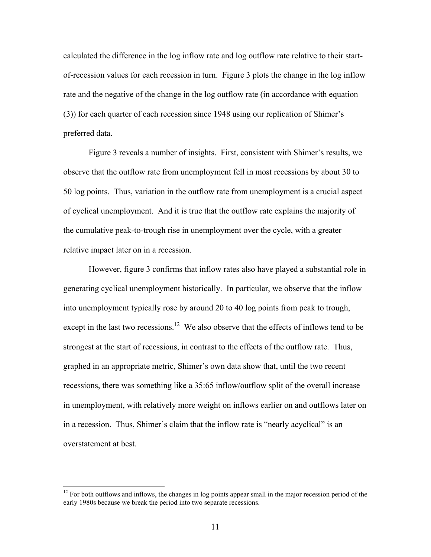calculated the difference in the log inflow rate and log outflow rate relative to their startof-recession values for each recession in turn. Figure 3 plots the change in the log inflow rate and the negative of the change in the log outflow rate (in accordance with equation (3)) for each quarter of each recession since 1948 using our replication of Shimer's preferred data.

 Figure 3 reveals a number of insights. First, consistent with Shimer's results, we observe that the outflow rate from unemployment fell in most recessions by about 30 to 50 log points. Thus, variation in the outflow rate from unemployment is a crucial aspect of cyclical unemployment. And it is true that the outflow rate explains the majority of the cumulative peak-to-trough rise in unemployment over the cycle, with a greater relative impact later on in a recession.

However, figure 3 confirms that inflow rates also have played a substantial role in generating cyclical unemployment historically. In particular, we observe that the inflow into unemployment typically rose by around 20 to 40 log points from peak to trough, except in the last two recessions.<sup>12</sup> We also observe that the effects of inflows tend to be strongest at the start of recessions, in contrast to the effects of the outflow rate. Thus, graphed in an appropriate metric, Shimer's own data show that, until the two recent recessions, there was something like a 35:65 inflow/outflow split of the overall increase in unemployment, with relatively more weight on inflows earlier on and outflows later on in a recession. Thus, Shimer's claim that the inflow rate is "nearly acyclical" is an overstatement at best.

 $12$  For both outflows and inflows, the changes in log points appear small in the major recession period of the early 1980s because we break the period into two separate recessions.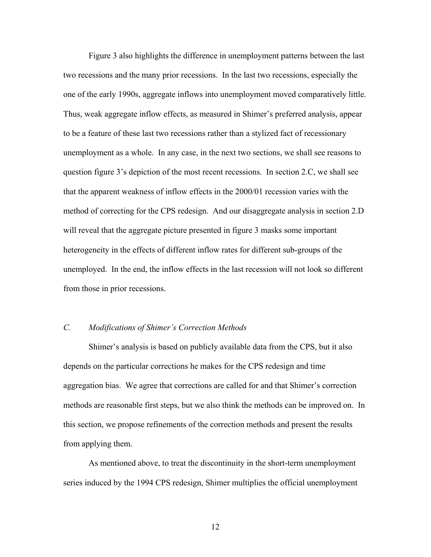Figure 3 also highlights the difference in unemployment patterns between the last two recessions and the many prior recessions. In the last two recessions, especially the one of the early 1990s, aggregate inflows into unemployment moved comparatively little. Thus, weak aggregate inflow effects, as measured in Shimer's preferred analysis, appear to be a feature of these last two recessions rather than a stylized fact of recessionary unemployment as a whole. In any case, in the next two sections, we shall see reasons to question figure 3's depiction of the most recent recessions. In section 2.C, we shall see that the apparent weakness of inflow effects in the 2000/01 recession varies with the method of correcting for the CPS redesign. And our disaggregate analysis in section 2.D will reveal that the aggregate picture presented in figure 3 masks some important heterogeneity in the effects of different inflow rates for different sub-groups of the unemployed. In the end, the inflow effects in the last recession will not look so different from those in prior recessions.

## *C. Modifications of Shimer's Correction Methods*

Shimer's analysis is based on publicly available data from the CPS, but it also depends on the particular corrections he makes for the CPS redesign and time aggregation bias. We agree that corrections are called for and that Shimer's correction methods are reasonable first steps, but we also think the methods can be improved on. In this section, we propose refinements of the correction methods and present the results from applying them.

As mentioned above, to treat the discontinuity in the short-term unemployment series induced by the 1994 CPS redesign, Shimer multiplies the official unemployment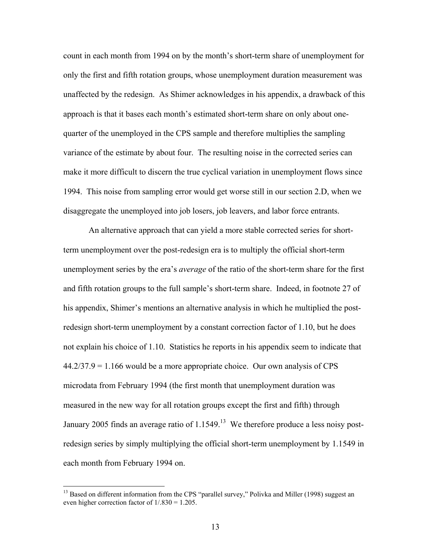count in each month from 1994 on by the month's short-term share of unemployment for only the first and fifth rotation groups, whose unemployment duration measurement was unaffected by the redesign. As Shimer acknowledges in his appendix, a drawback of this approach is that it bases each month's estimated short-term share on only about onequarter of the unemployed in the CPS sample and therefore multiplies the sampling variance of the estimate by about four. The resulting noise in the corrected series can make it more difficult to discern the true cyclical variation in unemployment flows since 1994. This noise from sampling error would get worse still in our section 2.D, when we disaggregate the unemployed into job losers, job leavers, and labor force entrants.

An alternative approach that can yield a more stable corrected series for shortterm unemployment over the post-redesign era is to multiply the official short-term unemployment series by the era's *average* of the ratio of the short-term share for the first and fifth rotation groups to the full sample's short-term share. Indeed, in footnote 27 of his appendix, Shimer's mentions an alternative analysis in which he multiplied the postredesign short-term unemployment by a constant correction factor of 1.10, but he does not explain his choice of 1.10. Statistics he reports in his appendix seem to indicate that  $44.2/37.9 = 1.166$  would be a more appropriate choice. Our own analysis of CPS microdata from February 1994 (the first month that unemployment duration was measured in the new way for all rotation groups except the first and fifth) through January 2005 finds an average ratio of  $1.1549$ .<sup>13</sup> We therefore produce a less noisy postredesign series by simply multiplying the official short-term unemployment by 1.1549 in each month from February 1994 on.

<sup>&</sup>lt;sup>13</sup> Based on different information from the CPS "parallel survey," Polivka and Miller (1998) suggest an even higher correction factor of  $1/0.830 = 1.205$ .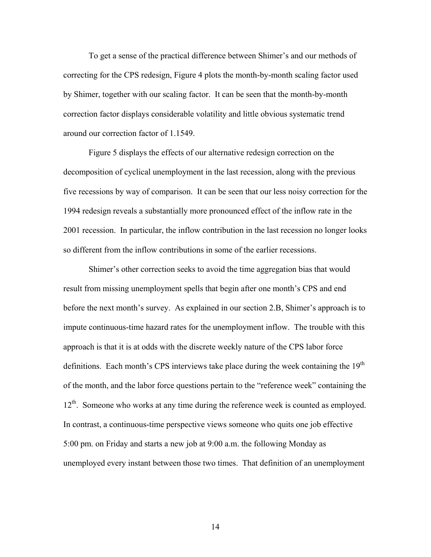To get a sense of the practical difference between Shimer's and our methods of correcting for the CPS redesign, Figure 4 plots the month-by-month scaling factor used by Shimer, together with our scaling factor. It can be seen that the month-by-month correction factor displays considerable volatility and little obvious systematic trend around our correction factor of 1.1549.

Figure 5 displays the effects of our alternative redesign correction on the decomposition of cyclical unemployment in the last recession, along with the previous five recessions by way of comparison. It can be seen that our less noisy correction for the 1994 redesign reveals a substantially more pronounced effect of the inflow rate in the 2001 recession. In particular, the inflow contribution in the last recession no longer looks so different from the inflow contributions in some of the earlier recessions.

Shimer's other correction seeks to avoid the time aggregation bias that would result from missing unemployment spells that begin after one month's CPS and end before the next month's survey. As explained in our section 2.B, Shimer's approach is to impute continuous-time hazard rates for the unemployment inflow. The trouble with this approach is that it is at odds with the discrete weekly nature of the CPS labor force definitions. Each month's CPS interviews take place during the week containing the 19<sup>th</sup> of the month, and the labor force questions pertain to the "reference week" containing the 12<sup>th</sup>. Someone who works at any time during the reference week is counted as employed. In contrast, a continuous-time perspective views someone who quits one job effective 5:00 pm. on Friday and starts a new job at 9:00 a.m. the following Monday as unemployed every instant between those two times. That definition of an unemployment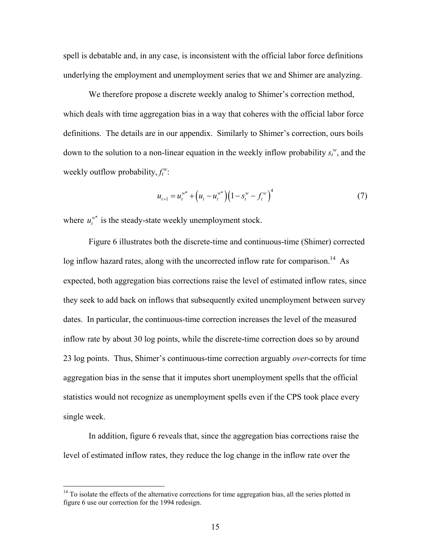spell is debatable and, in any case, is inconsistent with the official labor force definitions underlying the employment and unemployment series that we and Shimer are analyzing.

We therefore propose a discrete weekly analog to Shimer's correction method, which deals with time aggregation bias in a way that coheres with the official labor force definitions. The details are in our appendix. Similarly to Shimer's correction, ours boils down to the solution to a non-linear equation in the weekly inflow probability  $s_t^w$ , and the weekly outflow probability,  $f_t^w$ :

$$
u_{t+1} = u_t^{w^*} + (u_t - u_t^{w^*})(1 - s_t^w - f_t^w)^4
$$
\n(7)

where  $u_t^{\nu^*}$  is the steady-state weekly unemployment stock.

Figure 6 illustrates both the discrete-time and continuous-time (Shimer) corrected  $\log$  inflow hazard rates, along with the uncorrected inflow rate for comparison.<sup>14</sup> As expected, both aggregation bias corrections raise the level of estimated inflow rates, since they seek to add back on inflows that subsequently exited unemployment between survey dates. In particular, the continuous-time correction increases the level of the measured inflow rate by about 30 log points, while the discrete-time correction does so by around 23 log points. Thus, Shimer's continuous-time correction arguably *over*-corrects for time aggregation bias in the sense that it imputes short unemployment spells that the official statistics would not recognize as unemployment spells even if the CPS took place every single week.

In addition, figure 6 reveals that, since the aggregation bias corrections raise the level of estimated inflow rates, they reduce the log change in the inflow rate over the

 $14$  To isolate the effects of the alternative corrections for time aggregation bias, all the series plotted in figure 6 use our correction for the 1994 redesign.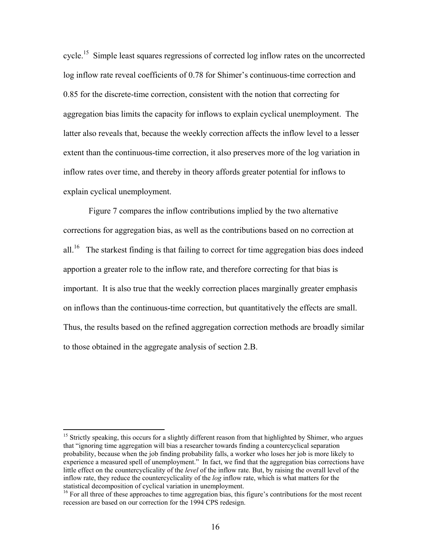cycle.15 Simple least squares regressions of corrected log inflow rates on the uncorrected log inflow rate reveal coefficients of 0.78 for Shimer's continuous-time correction and 0.85 for the discrete-time correction, consistent with the notion that correcting for aggregation bias limits the capacity for inflows to explain cyclical unemployment. The latter also reveals that, because the weekly correction affects the inflow level to a lesser extent than the continuous-time correction, it also preserves more of the log variation in inflow rates over time, and thereby in theory affords greater potential for inflows to explain cyclical unemployment.

 Figure 7 compares the inflow contributions implied by the two alternative corrections for aggregation bias, as well as the contributions based on no correction at all.<sup>16</sup> The starkest finding is that failing to correct for time aggregation bias does indeed apportion a greater role to the inflow rate, and therefore correcting for that bias is important. It is also true that the weekly correction places marginally greater emphasis on inflows than the continuous-time correction, but quantitatively the effects are small. Thus, the results based on the refined aggregation correction methods are broadly similar to those obtained in the aggregate analysis of section 2.B.

<sup>&</sup>lt;sup>15</sup> Strictly speaking, this occurs for a slightly different reason from that highlighted by Shimer, who argues that "ignoring time aggregation will bias a researcher towards finding a countercyclical separation probability, because when the job finding probability falls, a worker who loses her job is more likely to experience a measured spell of unemployment." In fact, we find that the aggregation bias corrections have little effect on the countercyclicality of the *level* of the inflow rate. But, by raising the overall level of the inflow rate, they reduce the countercyclicality of the *log* inflow rate, which is what matters for the statistical decomposition of cyclical variation in unemployment.

<sup>&</sup>lt;sup>16</sup> For all three of these approaches to time aggregation bias, this figure's contributions for the most recent recession are based on our correction for the 1994 CPS redesign.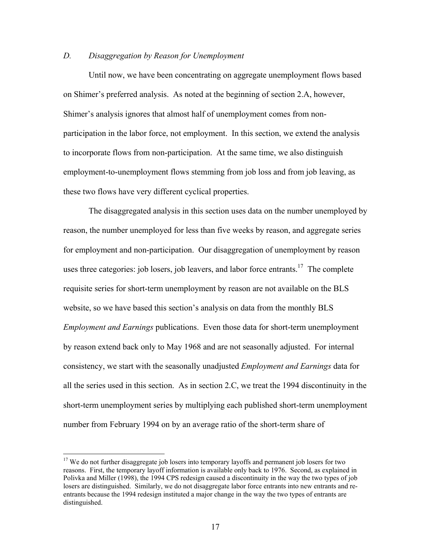# *D. Disaggregation by Reason for Unemployment*

Until now, we have been concentrating on aggregate unemployment flows based on Shimer's preferred analysis. As noted at the beginning of section 2.A, however, Shimer's analysis ignores that almost half of unemployment comes from nonparticipation in the labor force, not employment. In this section, we extend the analysis to incorporate flows from non-participation. At the same time, we also distinguish employment-to-unemployment flows stemming from job loss and from job leaving, as these two flows have very different cyclical properties.

The disaggregated analysis in this section uses data on the number unemployed by reason, the number unemployed for less than five weeks by reason, and aggregate series for employment and non-participation. Our disaggregation of unemployment by reason uses three categories: job losers, job leavers, and labor force entrants.<sup>17</sup> The complete requisite series for short-term unemployment by reason are not available on the BLS website, so we have based this section's analysis on data from the monthly BLS *Employment and Earnings* publications. Even those data for short-term unemployment by reason extend back only to May 1968 and are not seasonally adjusted. For internal consistency, we start with the seasonally unadjusted *Employment and Earnings* data for all the series used in this section. As in section 2.C, we treat the 1994 discontinuity in the short-term unemployment series by multiplying each published short-term unemployment number from February 1994 on by an average ratio of the short-term share of

<sup>&</sup>lt;sup>17</sup> We do not further disaggregate job losers into temporary layoffs and permanent job losers for two reasons. First, the temporary layoff information is available only back to 1976. Second, as explained in Polivka and Miller (1998), the 1994 CPS redesign caused a discontinuity in the way the two types of job losers are distinguished. Similarly, we do not disaggregate labor force entrants into new entrants and reentrants because the 1994 redesign instituted a major change in the way the two types of entrants are distinguished.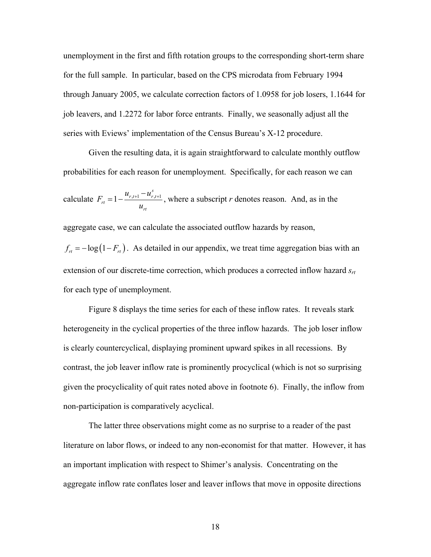unemployment in the first and fifth rotation groups to the corresponding short-term share for the full sample. In particular, based on the CPS microdata from February 1994 through January 2005, we calculate correction factors of 1.0958 for job losers, 1.1644 for job leavers, and 1.2272 for labor force entrants. Finally, we seasonally adjust all the series with Eviews' implementation of the Census Bureau's X-12 procedure.

Given the resulting data, it is again straightforward to calculate monthly outflow probabilities for each reason for unemployment. Specifically, for each reason we can calculate  $F_{rt} = 1 - \frac{a_{r,t+1} - a_{r,t+1}}{a_{r,t+1}}$ *s*  $r_{t+1}$   $\mathbf{u}_{r,t}$ *rt rt*  $u_{r_{t+1}} - u$ *F u*  $= 1 - \frac{u_{r,t+1} - u_{r,t+1}^s}{u_{r,t+1}}$ , where a subscript *r* denotes reason. And, as in the aggregate case, we can calculate the associated outflow hazards by reason,  $f_{rt} = -\log(1 - F_{rt})$ . As detailed in our appendix, we treat time aggregation bias with an extension of our discrete-time correction, which produces a corrected inflow hazard  $s<sub>rt</sub>$ for each type of unemployment.

Figure 8 displays the time series for each of these inflow rates. It reveals stark heterogeneity in the cyclical properties of the three inflow hazards. The job loser inflow is clearly countercyclical, displaying prominent upward spikes in all recessions. By contrast, the job leaver inflow rate is prominently procyclical (which is not so surprising given the procyclicality of quit rates noted above in footnote 6). Finally, the inflow from non-participation is comparatively acyclical.

The latter three observations might come as no surprise to a reader of the past literature on labor flows, or indeed to any non-economist for that matter. However, it has an important implication with respect to Shimer's analysis. Concentrating on the aggregate inflow rate conflates loser and leaver inflows that move in opposite directions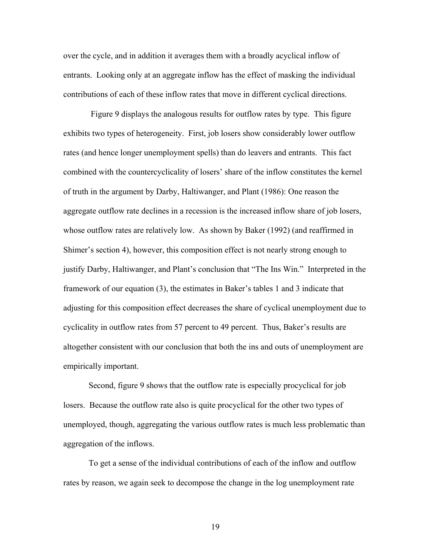over the cycle, and in addition it averages them with a broadly acyclical inflow of entrants. Looking only at an aggregate inflow has the effect of masking the individual contributions of each of these inflow rates that move in different cyclical directions.

 Figure 9 displays the analogous results for outflow rates by type. This figure exhibits two types of heterogeneity. First, job losers show considerably lower outflow rates (and hence longer unemployment spells) than do leavers and entrants. This fact combined with the countercyclicality of losers' share of the inflow constitutes the kernel of truth in the argument by Darby, Haltiwanger, and Plant (1986): One reason the aggregate outflow rate declines in a recession is the increased inflow share of job losers, whose outflow rates are relatively low. As shown by Baker (1992) (and reaffirmed in Shimer's section 4), however, this composition effect is not nearly strong enough to justify Darby, Haltiwanger, and Plant's conclusion that "The Ins Win." Interpreted in the framework of our equation (3), the estimates in Baker's tables 1 and 3 indicate that adjusting for this composition effect decreases the share of cyclical unemployment due to cyclicality in outflow rates from 57 percent to 49 percent. Thus, Baker's results are altogether consistent with our conclusion that both the ins and outs of unemployment are empirically important.

Second, figure 9 shows that the outflow rate is especially procyclical for job losers. Because the outflow rate also is quite procyclical for the other two types of unemployed, though, aggregating the various outflow rates is much less problematic than aggregation of the inflows.

To get a sense of the individual contributions of each of the inflow and outflow rates by reason, we again seek to decompose the change in the log unemployment rate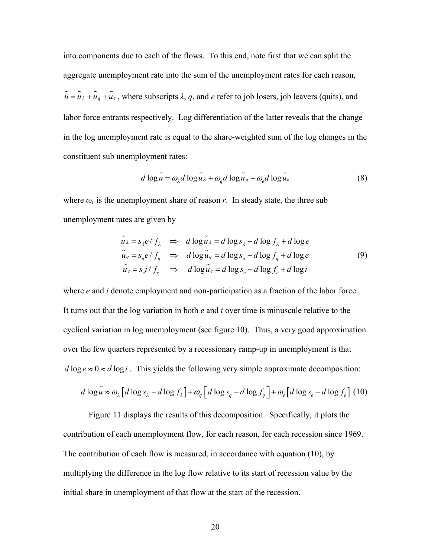into components due to each of the flows. To this end, note first that we can split the aggregate unemployment rate into the sum of the unemployment rates for each reason,  $\tilde{u} = \tilde{u}_{\lambda} + \tilde{u}_{g} + \tilde{u}_{e}$ , where subscripts  $\lambda$ , *q*, and *e* refer to job losers, job leavers (quits), and labor force entrants respectively. Log differentiation of the latter reveals that the change in the log unemployment rate is equal to the share-weighted sum of the log changes in the constituent sub unemployment rates:

$$
d \log \tilde{u} = \omega_{\lambda} d \log \tilde{u}_{\lambda} + \omega_q d \log \tilde{u}_q + \omega_e d \log \tilde{u}_e
$$
 (8)

where  $\omega_r$  is the unemployment share of reason r. In steady state, the three sub unemployment rates are given by

$$
\tilde{u}_{\lambda} = s_{\lambda} e / f_{\lambda} \implies d \log \tilde{u}_{\lambda} = d \log s_{\lambda} - d \log f_{\lambda} + d \log e
$$
\n
$$
\tilde{u}_{q} = s_{q} e / f_{q} \implies d \log \tilde{u}_{q} = d \log s_{q} - d \log f_{q} + d \log e
$$
\n
$$
\tilde{u}_{e} = s_{e} i / f_{e} \implies d \log \tilde{u}_{e} = d \log s_{e} - d \log f_{e} + d \log i
$$
\n(9)

where *e* and *i* denote employment and non-participation as a fraction of the labor force. It turns out that the log variation in both *e* and *i* over time is minuscule relative to the cyclical variation in log unemployment (see figure 10). Thus, a very good approximation over the few quarters represented by a recessionary ramp-up in unemployment is that  $d \log e \approx 0 \approx d \log i$ . This yields the following very simple approximate decomposition:

$$
d \log \tilde{u} \approx \omega_{\lambda} \left[ d \log s_{\lambda} - d \log f_{\lambda} \right] + \omega_{q} \left[ d \log s_{q} - d \log f_{q} \right] + \omega_{e} \left[ d \log s_{e} - d \log f_{e} \right] (10)
$$

Figure 11 displays the results of this decomposition. Specifically, it plots the contribution of each unemployment flow, for each reason, for each recession since 1969. The contribution of each flow is measured, in accordance with equation (10), by multiplying the difference in the log flow relative to its start of recession value by the initial share in unemployment of that flow at the start of the recession.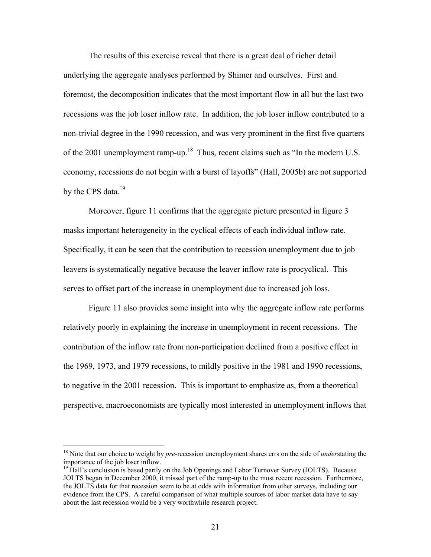The results of this exercise reveal that there is a great deal of richer detail underlying the aggregate analyses performed by Shimer and ourselves. First and foremost, the decomposition indicates that the most important flow in all but the last two recessions was the job loser inflow rate. In addition, the job loser inflow contributed to a non-trivial degree in the 1990 recession, and was very prominent in the first five quarters of the 2001 unemployment ramp-up.<sup>18</sup> Thus, recent claims such as "In the modern U.S. economy, recessions do not begin with a burst of layoffs" (Hall, 2005b) are not supported by the CPS data. $19$ 

 Moreover, figure 11 confirms that the aggregate picture presented in figure 3 masks important heterogeneity in the cyclical effects of each individual inflow rate. Specifically, it can be seen that the contribution to recession unemployment due to job leavers is systematically negative because the leaver inflow rate is procyclical. This serves to offset part of the increase in unemployment due to increased job loss.

Figure 11 also provides some insight into why the aggregate inflow rate performs relatively poorly in explaining the increase in unemployment in recent recessions. The contribution of the inflow rate from non-participation declined from a positive effect in the 1969, 1973, and 1979 recessions, to mildly positive in the 1981 and 1990 recessions, to negative in the 2001 recession. This is important to emphasize as, from a theoretical perspective, macroeconomists are typically most interested in unemployment inflows that

<sup>18</sup> Note that our choice to weight by *pre*-recession unemployment shares errs on the side of *under*stating the importance of the job loser inflow.

<sup>&</sup>lt;sup>19</sup> Hall's conclusion is based partly on the Job Openings and Labor Turnover Survey (JOLTS). Because JOLTS began in December 2000, it missed part of the ramp-up to the most recent recession. Furthermore, the JOLTS data for that recession seem to be at odds with information from other surveys, including our evidence from the CPS. A careful comparison of what multiple sources of labor market data have to say about the last recession would be a very worthwhile research project.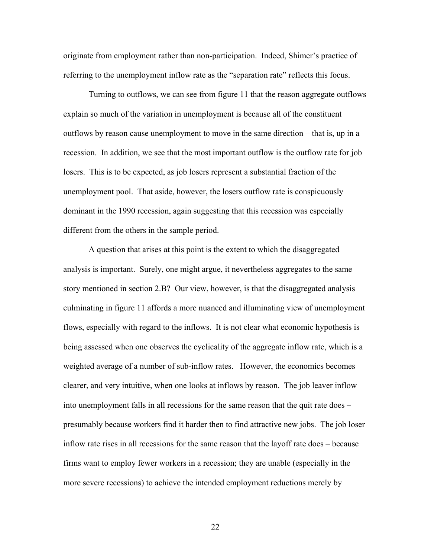originate from employment rather than non-participation. Indeed, Shimer's practice of referring to the unemployment inflow rate as the "separation rate" reflects this focus.

 Turning to outflows, we can see from figure 11 that the reason aggregate outflows explain so much of the variation in unemployment is because all of the constituent outflows by reason cause unemployment to move in the same direction – that is, up in a recession. In addition, we see that the most important outflow is the outflow rate for job losers. This is to be expected, as job losers represent a substantial fraction of the unemployment pool. That aside, however, the losers outflow rate is conspicuously dominant in the 1990 recession, again suggesting that this recession was especially different from the others in the sample period.

 A question that arises at this point is the extent to which the disaggregated analysis is important. Surely, one might argue, it nevertheless aggregates to the same story mentioned in section 2.B? Our view, however, is that the disaggregated analysis culminating in figure 11 affords a more nuanced and illuminating view of unemployment flows, especially with regard to the inflows. It is not clear what economic hypothesis is being assessed when one observes the cyclicality of the aggregate inflow rate, which is a weighted average of a number of sub-inflow rates. However, the economics becomes clearer, and very intuitive, when one looks at inflows by reason. The job leaver inflow into unemployment falls in all recessions for the same reason that the quit rate does – presumably because workers find it harder then to find attractive new jobs. The job loser inflow rate rises in all recessions for the same reason that the layoff rate does – because firms want to employ fewer workers in a recession; they are unable (especially in the more severe recessions) to achieve the intended employment reductions merely by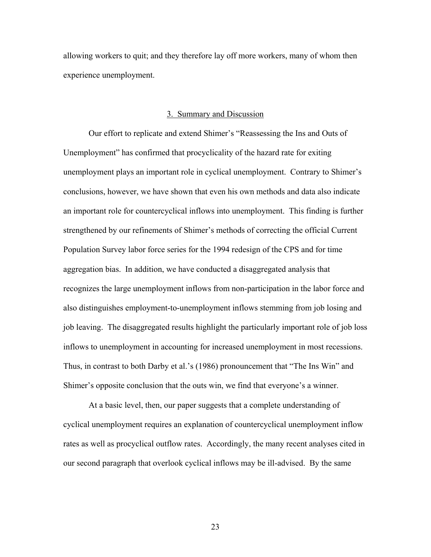allowing workers to quit; and they therefore lay off more workers, many of whom then experience unemployment.

### 3. Summary and Discussion

Our effort to replicate and extend Shimer's "Reassessing the Ins and Outs of Unemployment" has confirmed that procyclicality of the hazard rate for exiting unemployment plays an important role in cyclical unemployment. Contrary to Shimer's conclusions, however, we have shown that even his own methods and data also indicate an important role for countercyclical inflows into unemployment. This finding is further strengthened by our refinements of Shimer's methods of correcting the official Current Population Survey labor force series for the 1994 redesign of the CPS and for time aggregation bias. In addition, we have conducted a disaggregated analysis that recognizes the large unemployment inflows from non-participation in the labor force and also distinguishes employment-to-unemployment inflows stemming from job losing and job leaving. The disaggregated results highlight the particularly important role of job loss inflows to unemployment in accounting for increased unemployment in most recessions. Thus, in contrast to both Darby et al.'s (1986) pronouncement that "The Ins Win" and Shimer's opposite conclusion that the outs win, we find that everyone's a winner.

At a basic level, then, our paper suggests that a complete understanding of cyclical unemployment requires an explanation of countercyclical unemployment inflow rates as well as procyclical outflow rates. Accordingly, the many recent analyses cited in our second paragraph that overlook cyclical inflows may be ill-advised. By the same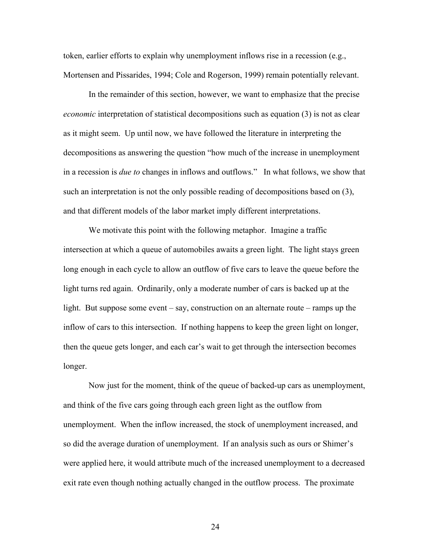token, earlier efforts to explain why unemployment inflows rise in a recession (e.g., Mortensen and Pissarides, 1994; Cole and Rogerson, 1999) remain potentially relevant.

In the remainder of this section, however, we want to emphasize that the precise *economic* interpretation of statistical decompositions such as equation (3) is not as clear as it might seem. Up until now, we have followed the literature in interpreting the decompositions as answering the question "how much of the increase in unemployment in a recession is *due to* changes in inflows and outflows." In what follows, we show that such an interpretation is not the only possible reading of decompositions based on (3), and that different models of the labor market imply different interpretations.

We motivate this point with the following metaphor. Imagine a traffic intersection at which a queue of automobiles awaits a green light. The light stays green long enough in each cycle to allow an outflow of five cars to leave the queue before the light turns red again. Ordinarily, only a moderate number of cars is backed up at the light. But suppose some event – say, construction on an alternate route – ramps up the inflow of cars to this intersection. If nothing happens to keep the green light on longer, then the queue gets longer, and each car's wait to get through the intersection becomes longer.

 Now just for the moment, think of the queue of backed-up cars as unemployment, and think of the five cars going through each green light as the outflow from unemployment. When the inflow increased, the stock of unemployment increased, and so did the average duration of unemployment. If an analysis such as ours or Shimer's were applied here, it would attribute much of the increased unemployment to a decreased exit rate even though nothing actually changed in the outflow process. The proximate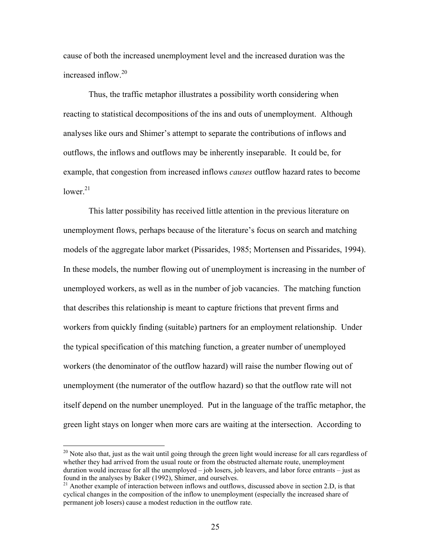cause of both the increased unemployment level and the increased duration was the increased inflow.<sup>20</sup>

 Thus, the traffic metaphor illustrates a possibility worth considering when reacting to statistical decompositions of the ins and outs of unemployment. Although analyses like ours and Shimer's attempt to separate the contributions of inflows and outflows, the inflows and outflows may be inherently inseparable. It could be, for example, that congestion from increased inflows *causes* outflow hazard rates to become lower $21$ 

 This latter possibility has received little attention in the previous literature on unemployment flows, perhaps because of the literature's focus on search and matching models of the aggregate labor market (Pissarides, 1985; Mortensen and Pissarides, 1994). In these models, the number flowing out of unemployment is increasing in the number of unemployed workers, as well as in the number of job vacancies. The matching function that describes this relationship is meant to capture frictions that prevent firms and workers from quickly finding (suitable) partners for an employment relationship. Under the typical specification of this matching function, a greater number of unemployed workers (the denominator of the outflow hazard) will raise the number flowing out of unemployment (the numerator of the outflow hazard) so that the outflow rate will not itself depend on the number unemployed. Put in the language of the traffic metaphor, the green light stays on longer when more cars are waiting at the intersection. According to

 $20$  Note also that, just as the wait until going through the green light would increase for all cars regardless of whether they had arrived from the usual route or from the obstructed alternate route, unemployment duration would increase for all the unemployed – job losers, job leavers, and labor force entrants – just as found in the analyses by Baker (1992), Shimer, and ourselves.

<sup>&</sup>lt;sup>21</sup> Another example of interaction between inflows and outflows, discussed above in section 2.D, is that cyclical changes in the composition of the inflow to unemployment (especially the increased share of permanent job losers) cause a modest reduction in the outflow rate.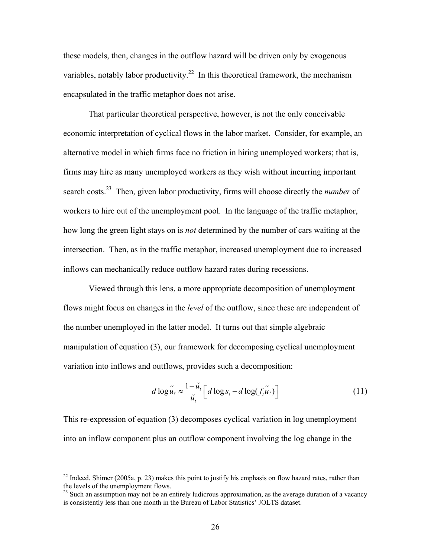these models, then, changes in the outflow hazard will be driven only by exogenous variables, notably labor productivity.<sup>22</sup> In this theoretical framework, the mechanism encapsulated in the traffic metaphor does not arise.

That particular theoretical perspective, however, is not the only conceivable economic interpretation of cyclical flows in the labor market. Consider, for example, an alternative model in which firms face no friction in hiring unemployed workers; that is, firms may hire as many unemployed workers as they wish without incurring important search costs.23 Then, given labor productivity, firms will choose directly the *number* of workers to hire out of the unemployment pool. In the language of the traffic metaphor, how long the green light stays on is *not* determined by the number of cars waiting at the intersection. Then, as in the traffic metaphor, increased unemployment due to increased inflows can mechanically reduce outflow hazard rates during recessions.

Viewed through this lens, a more appropriate decomposition of unemployment flows might focus on changes in the *level* of the outflow, since these are independent of the number unemployed in the latter model. It turns out that simple algebraic manipulation of equation (3), our framework for decomposing cyclical unemployment variation into inflows and outflows, provides such a decomposition:

$$
d \log \tilde{u}_t \approx \frac{1 - \tilde{u}_t}{\tilde{u}_t} \Big[ d \log s_t - d \log(f_t \tilde{u}_t) \Big] \tag{11}
$$

This re-expression of equation (3) decomposes cyclical variation in log unemployment into an inflow component plus an outflow component involving the log change in the

<u>.</u>

 $^{22}$  Indeed, Shimer (2005a, p. 23) makes this point to justify his emphasis on flow hazard rates, rather than the levels of the unemployment flows.

<sup>&</sup>lt;sup>23</sup> Such an assumption may not be an entirely ludicrous approximation, as the average duration of a vacancy is consistently less than one month in the Bureau of Labor Statistics' JOLTS dataset.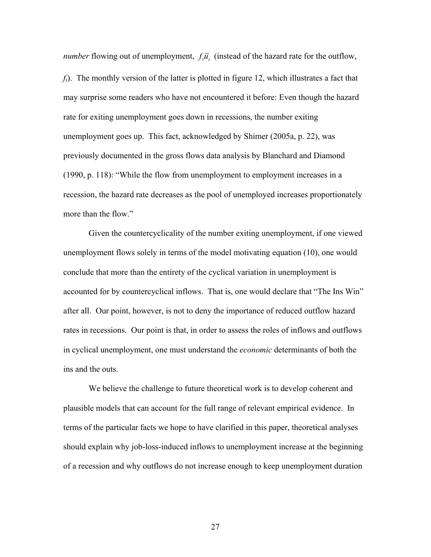*number* flowing out of unemployment,  $f_i \tilde{u}_i$  (instead of the hazard rate for the outflow,

*ft*). The monthly version of the latter is plotted in figure 12, which illustrates a fact that may surprise some readers who have not encountered it before: Even though the hazard rate for exiting unemployment goes down in recessions, the number exiting unemployment goes up. This fact, acknowledged by Shimer (2005a, p. 22), was previously documented in the gross flows data analysis by Blanchard and Diamond (1990, p. 118): "While the flow from unemployment to employment increases in a recession, the hazard rate decreases as the pool of unemployed increases proportionately more than the flow."

Given the countercyclicality of the number exiting unemployment, if one viewed unemployment flows solely in terms of the model motivating equation (10), one would conclude that more than the entirety of the cyclical variation in unemployment is accounted for by countercyclical inflows. That is, one would declare that "The Ins Win" after all. Our point, however, is not to deny the importance of reduced outflow hazard rates in recessions. Our point is that, in order to assess the roles of inflows and outflows in cyclical unemployment, one must understand the *economic* determinants of both the ins and the outs.

We believe the challenge to future theoretical work is to develop coherent and plausible models that can account for the full range of relevant empirical evidence. In terms of the particular facts we hope to have clarified in this paper, theoretical analyses should explain why job-loss-induced inflows to unemployment increase at the beginning of a recession and why outflows do not increase enough to keep unemployment duration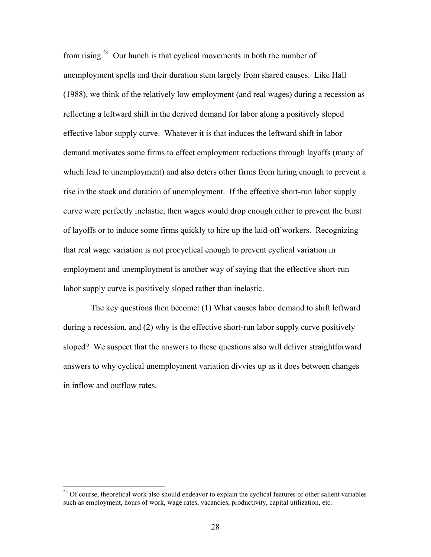from rising.<sup>24</sup> Our hunch is that cyclical movements in both the number of unemployment spells and their duration stem largely from shared causes. Like Hall (1988), we think of the relatively low employment (and real wages) during a recession as reflecting a leftward shift in the derived demand for labor along a positively sloped effective labor supply curve. Whatever it is that induces the leftward shift in labor demand motivates some firms to effect employment reductions through layoffs (many of which lead to unemployment) and also deters other firms from hiring enough to prevent a rise in the stock and duration of unemployment. If the effective short-run labor supply curve were perfectly inelastic, then wages would drop enough either to prevent the burst of layoffs or to induce some firms quickly to hire up the laid-off workers. Recognizing that real wage variation is not procyclical enough to prevent cyclical variation in employment and unemployment is another way of saying that the effective short-run labor supply curve is positively sloped rather than inelastic.

 The key questions then become: (1) What causes labor demand to shift leftward during a recession, and (2) why is the effective short-run labor supply curve positively sloped? We suspect that the answers to these questions also will deliver straightforward answers to why cyclical unemployment variation divvies up as it does between changes in inflow and outflow rates.

<sup>&</sup>lt;sup>24</sup> Of course, theoretical work also should endeavor to explain the cyclical features of other salient variables such as employment, hours of work, wage rates, vacancies, productivity, capital utilization, etc.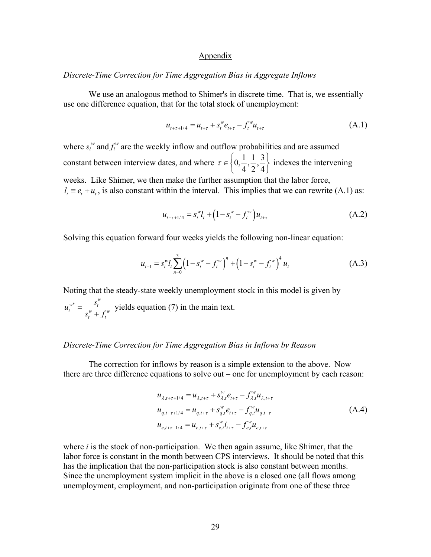### Appendix

### *Discrete-Time Correction for Time Aggregation Bias in Aggregate Inflows*

We use an analogous method to Shimer's in discrete time. That is, we essentially use one difference equation, that for the total stock of unemployment:

$$
u_{t+\tau+1/4} = u_{t+\tau} + s_t^w e_{t+\tau} - f_t^w u_{t+\tau}
$$
\n(A.1)

where  $s_t^w$  and  $f_t^w$  are the weekly inflow and outflow probabilities and are assumed constant between interview dates, and where  $\tau \in \left\{0, \frac{1}{4}, \frac{1}{2}, \frac{3}{4}\right\}$  $\tau \in \left\{0, \frac{1}{4}, \frac{1}{2}, \frac{3}{4}\right\}$  indexes the intervening weeks. Like Shimer, we then make the further assumption that the labor force,  $l_t \equiv e_t + u_t$ , is also constant within the interval. This implies that we can rewrite (A.1) as:

$$
u_{t+\tau+1/4} = s_t^{\omega} l_t + \left(1 - s_t^{\omega} - f_t^{\omega}\right) u_{t+\tau}
$$
\n(A.2)

Solving this equation forward four weeks yields the following non-linear equation:

$$
u_{t+1} = s_t^{\omega} l_t \sum_{n=0}^3 \left( 1 - s_t^{\omega} - f_t^{\omega} \right)^n + \left( 1 - s_t^{\omega} - f_t^{\omega} \right)^4 u_t \tag{A.3}
$$

Noting that the steady-state weekly unemployment stock in this model is given by  $w^*$  *s*<sup>*w*</sup> *s*<sup>*w*</sup>  $t = w + \mathcal{L}^w$ *t t*  $u_t^{w^*} = \frac{s_t^w}{s_t^w + f_t^w}$  yields equation (7) in the main text.

## *Discrete-Time Correction for Time Aggregation Bias in Inflows by Reason*

The correction for inflows by reason is a simple extension to the above. Now there are three difference equations to solve out – one for unemployment by each reason:

$$
u_{\lambda,t+\tau+1/4} = u_{\lambda,t+\tau} + s_{\lambda,t}^{w} e_{t+\tau} - f_{\lambda,t}^{w} u_{\lambda,t+\tau}
$$
  
\n
$$
u_{q,t+\tau+1/4} = u_{q,t+\tau} + s_{q,t}^{w} e_{t+\tau} - f_{q,t}^{w} u_{q,t+\tau}
$$
  
\n
$$
u_{e,t+\tau+1/4} = u_{e,t+\tau} + s_{e,t}^{w} i_{t+\tau} - f_{e,t}^{w} u_{e,t+\tau}
$$
\n(A.4)

where *i* is the stock of non-participation. We then again assume, like Shimer, that the labor force is constant in the month between CPS interviews. It should be noted that this has the implication that the non-participation stock is also constant between months. Since the unemployment system implicit in the above is a closed one (all flows among unemployment, employment, and non-participation originate from one of these three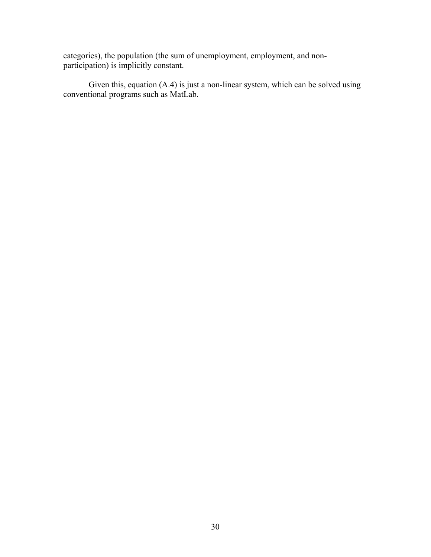categories), the population (the sum of unemployment, employment, and nonparticipation) is implicitly constant.

Given this, equation (A.4) is just a non-linear system, which can be solved using conventional programs such as MatLab.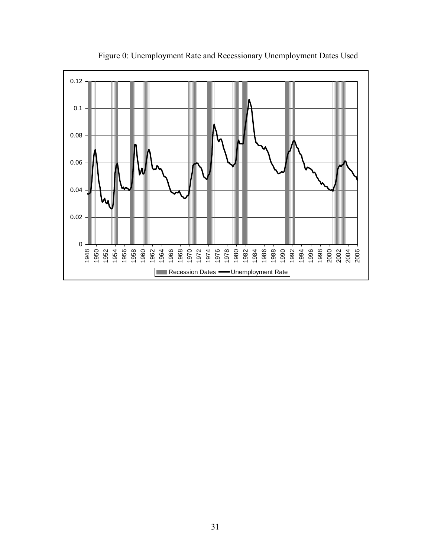

Figure 0: Unemployment Rate and Recessionary Unemployment Dates Used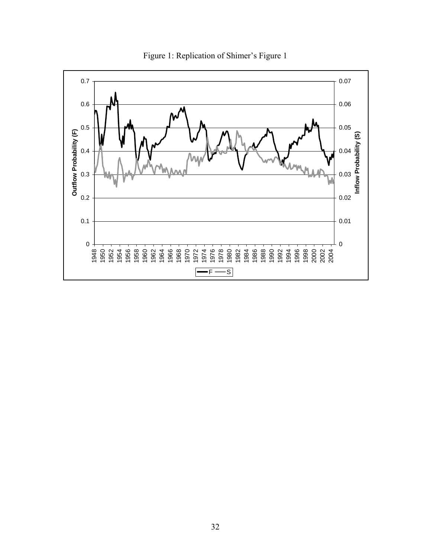

Figure 1: Replication of Shimer's Figure 1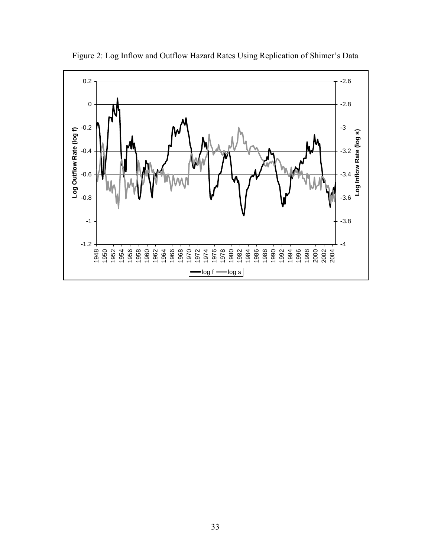

Figure 2: Log Inflow and Outflow Hazard Rates Using Replication of Shimer's Data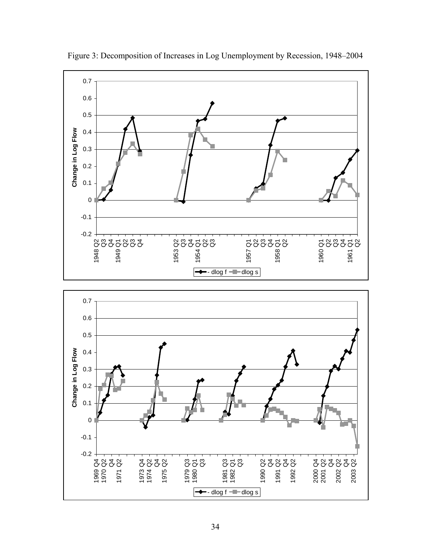

Figure 3: Decomposition of Increases in Log Unemployment by Recession, 1948–2004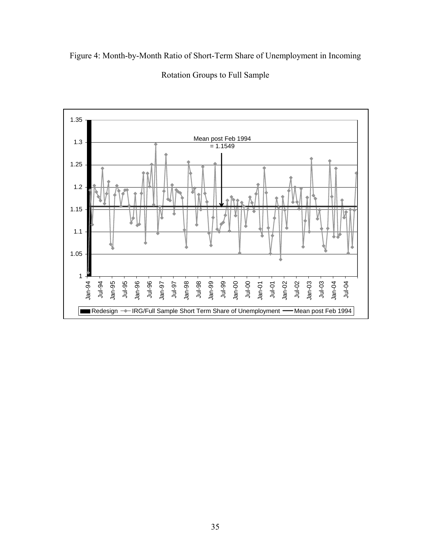Figure 4: Month-by-Month Ratio of Short-Term Share of Unemployment in Incoming



Rotation Groups to Full Sample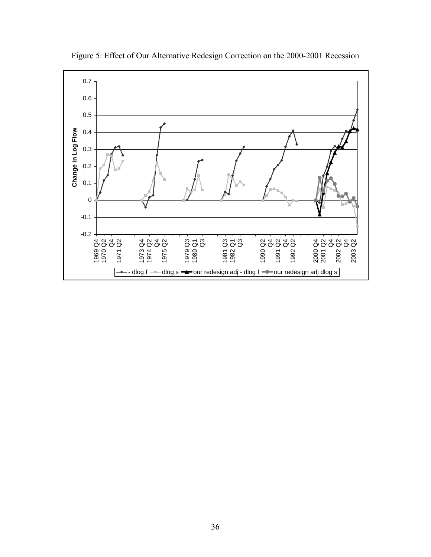

Figure 5: Effect of Our Alternative Redesign Correction on the 2000-2001 Recession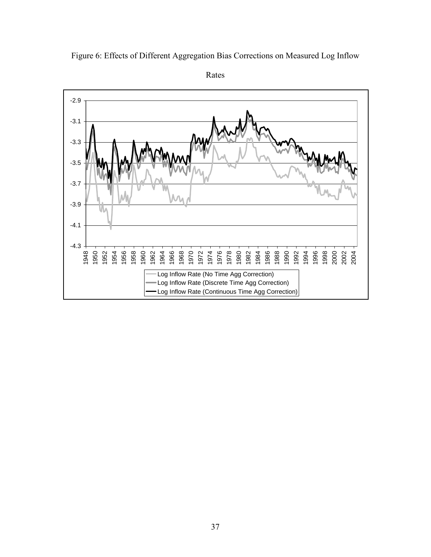

Figure 6: Effects of Different Aggregation Bias Corrections on Measured Log Inflow

Rates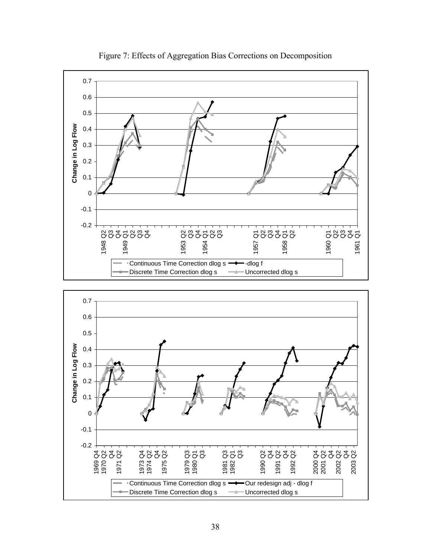

Figure 7: Effects of Aggregation Bias Corrections on Decomposition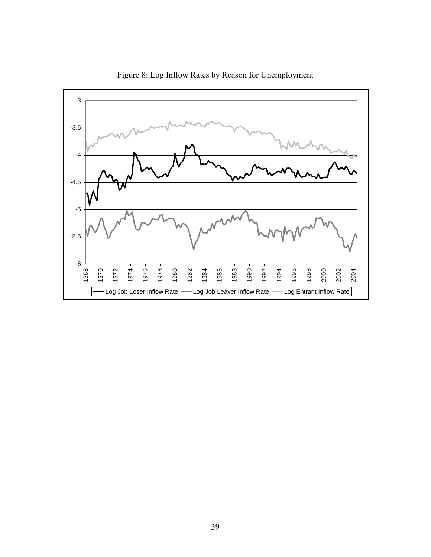

Figure 8: Log Inflow Rates by Reason for Unemployment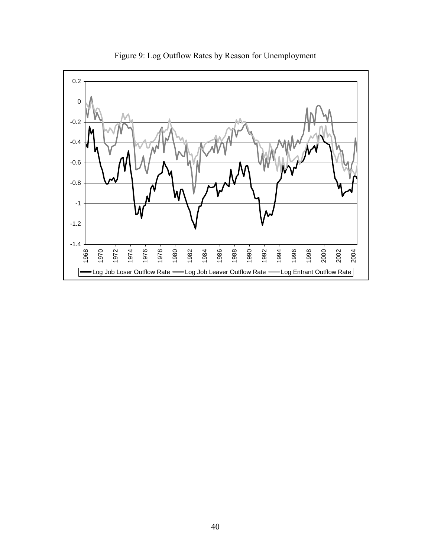

Figure 9: Log Outflow Rates by Reason for Unemployment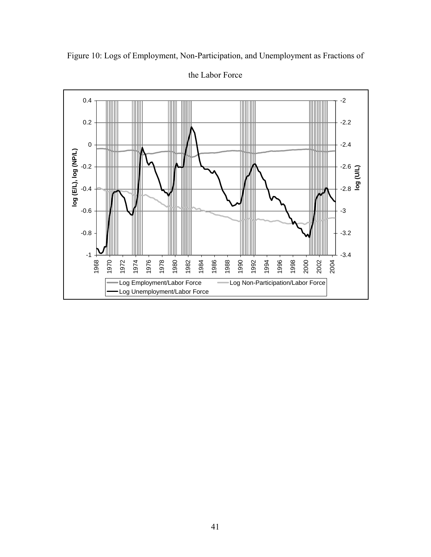

Figure 10: Logs of Employment, Non-Participation, and Unemployment as Fractions of

the Labor Force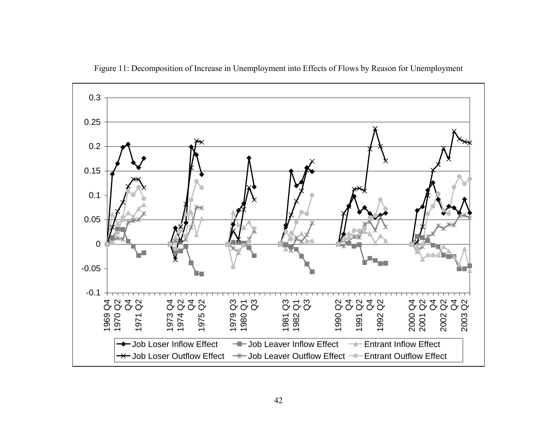

Figure 11: Decomposition of Increase in Unemployment into Effects of Flows by Reason for Unemployment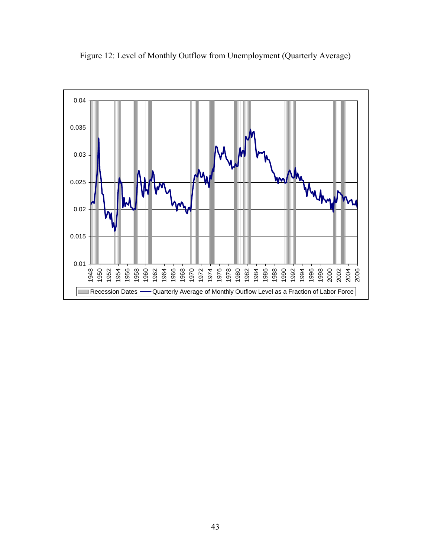

Figure 12: Level of Monthly Outflow from Unemployment (Quarterly Average)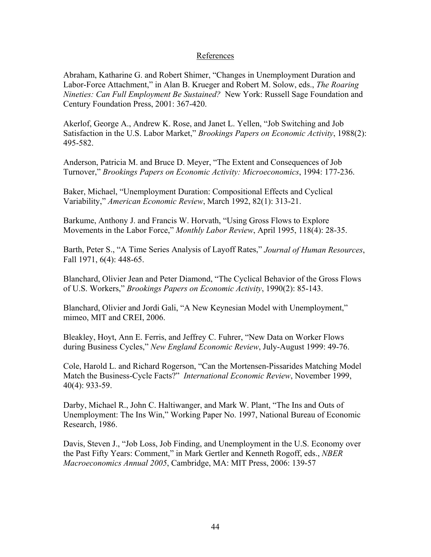# References

Abraham, Katharine G. and Robert Shimer, "Changes in Unemployment Duration and Labor-Force Attachment," in Alan B. Krueger and Robert M. Solow, eds., *The Roaring Nineties: Can Full Employment Be Sustained?* New York: Russell Sage Foundation and Century Foundation Press, 2001: 367-420.

Akerlof, George A., Andrew K. Rose, and Janet L. Yellen, "Job Switching and Job Satisfaction in the U.S. Labor Market," *Brookings Papers on Economic Activity*, 1988(2): 495-582.

Anderson, Patricia M. and Bruce D. Meyer, "The Extent and Consequences of Job Turnover," *Brookings Papers on Economic Activity: Microeconomics*, 1994: 177-236.

Baker, Michael, "Unemployment Duration: Compositional Effects and Cyclical Variability," *American Economic Review*, March 1992, 82(1): 313-21.

Barkume, Anthony J. and Francis W. Horvath, "Using Gross Flows to Explore Movements in the Labor Force," *Monthly Labor Review*, April 1995, 118(4): 28-35.

Barth, Peter S., "A Time Series Analysis of Layoff Rates," *Journal of Human Resources*, Fall 1971, 6(4): 448-65.

Blanchard, Olivier Jean and Peter Diamond, "The Cyclical Behavior of the Gross Flows of U.S. Workers," *Brookings Papers on Economic Activity*, 1990(2): 85-143.

Blanchard, Olivier and Jordi Gali, "A New Keynesian Model with Unemployment," mimeo, MIT and CREI, 2006.

Bleakley, Hoyt, Ann E. Ferris, and Jeffrey C. Fuhrer, "New Data on Worker Flows during Business Cycles," *New England Economic Review*, July-August 1999: 49-76.

Cole, Harold L. and Richard Rogerson, "Can the Mortensen-Pissarides Matching Model Match the Business-Cycle Facts?" *International Economic Review*, November 1999, 40(4): 933-59.

Darby, Michael R., John C. Haltiwanger, and Mark W. Plant, "The Ins and Outs of Unemployment: The Ins Win," Working Paper No. 1997, National Bureau of Economic Research, 1986.

Davis, Steven J., "Job Loss, Job Finding, and Unemployment in the U.S. Economy over the Past Fifty Years: Comment," in Mark Gertler and Kenneth Rogoff, eds., *NBER Macroeconomics Annual 2005*, Cambridge, MA: MIT Press, 2006: 139-57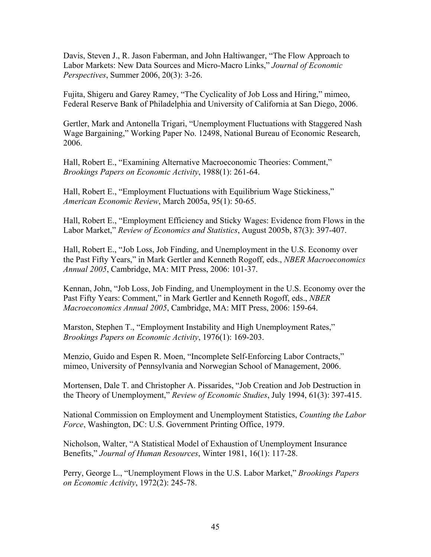Davis, Steven J., R. Jason Faberman, and John Haltiwanger, "The Flow Approach to Labor Markets: New Data Sources and Micro-Macro Links," *Journal of Economic Perspectives*, Summer 2006, 20(3): 3-26.

Fujita, Shigeru and Garey Ramey, "The Cyclicality of Job Loss and Hiring," mimeo, Federal Reserve Bank of Philadelphia and University of California at San Diego, 2006.

Gertler, Mark and Antonella Trigari, "Unemployment Fluctuations with Staggered Nash Wage Bargaining," Working Paper No. 12498, National Bureau of Economic Research, 2006.

Hall, Robert E., "Examining Alternative Macroeconomic Theories: Comment," *Brookings Papers on Economic Activity*, 1988(1): 261-64.

Hall, Robert E., "Employment Fluctuations with Equilibrium Wage Stickiness," *American Economic Review*, March 2005a, 95(1): 50-65.

Hall, Robert E., "Employment Efficiency and Sticky Wages: Evidence from Flows in the Labor Market," *Review of Economics and Statistics*, August 2005b, 87(3): 397-407.

Hall, Robert E., "Job Loss, Job Finding, and Unemployment in the U.S. Economy over the Past Fifty Years," in Mark Gertler and Kenneth Rogoff, eds., *NBER Macroeconomics Annual 2005*, Cambridge, MA: MIT Press, 2006: 101-37.

Kennan, John, "Job Loss, Job Finding, and Unemployment in the U.S. Economy over the Past Fifty Years: Comment," in Mark Gertler and Kenneth Rogoff, eds., *NBER Macroeconomics Annual 2005*, Cambridge, MA: MIT Press, 2006: 159-64.

Marston, Stephen T., "Employment Instability and High Unemployment Rates," *Brookings Papers on Economic Activity*, 1976(1): 169-203.

Menzio, Guido and Espen R. Moen, "Incomplete Self-Enforcing Labor Contracts," mimeo, University of Pennsylvania and Norwegian School of Management, 2006.

Mortensen, Dale T. and Christopher A. Pissarides, "Job Creation and Job Destruction in the Theory of Unemployment," *Review of Economic Studies*, July 1994, 61(3): 397-415.

National Commission on Employment and Unemployment Statistics, *Counting the Labor Force*, Washington, DC: U.S. Government Printing Office, 1979.

Nicholson, Walter, "A Statistical Model of Exhaustion of Unemployment Insurance Benefits," *Journal of Human Resources*, Winter 1981, 16(1): 117-28.

Perry, George L., "Unemployment Flows in the U.S. Labor Market," *Brookings Papers on Economic Activity*, 1972(2): 245-78.